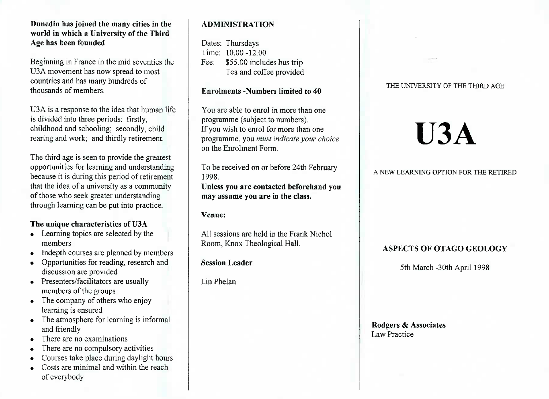### **Dunedin has joined the many cities in the world in which a University of the ThirdAge has been founded**

Beginning in France in the mid seventies theU3A movement has now spread to most countries and has many hundreds ofthousands of members.

USA is a response to the idea that human lifeis divided into three periods: firstly, childhood and schooling; secondly, childrearing and work; and thirdly retirement.

The third age is seen to provide the greatest opportunities for learning and understanding because it is during this period of retirement that the idea of a university as a communityof those who seek greater understandingthrough learning can be put into practice.

## **The unique characteristics of U3A**

- Learning topics are selected by themembers
- Indepth courses are planned by members
- Opportunities for reading, research anddiscussion are provided
- Presenters/facilitators are usually members of the groups
- » The company of others who enjoylearning is ensured
- The atmosphere for learning is informal and friendly
- There are no examinations
- There are no compulsory activities
- Courses take place during daylight hours
- Costs are minimal and within the reachof everybody

# **ADMINISTRATION**

Dates: Thursdays Time: 10.00-12.00 Fee: \$55.00 includes bus tripTea and coffee provided

### **Enrolments -Numbers limited to 40**

You are able to enrol in more than oneprogramme (subject to numbers). If you wish to enrol for more than one programme, you *must indicate your choice*on the Enrolment Form.

To be received on or before 24th February1998.

 **Unless you are contacted beforehand youmay assume you are in the class.**

**Venue:**

All sessions are held in the Frank NicholRoom, Knox Theological Hall.

## **Session Leader**

Lin Phelan

### THE UNIVERSITY **OF THE THIRD AGE**

# **U3A**

### **A NEW LEARNING OPTION FOR THE RETIRED**

# **ASPECTS OF OTAGO GEOLOGY**

5th March-30th April 1998

**Rodgers & Associates**Law Practice